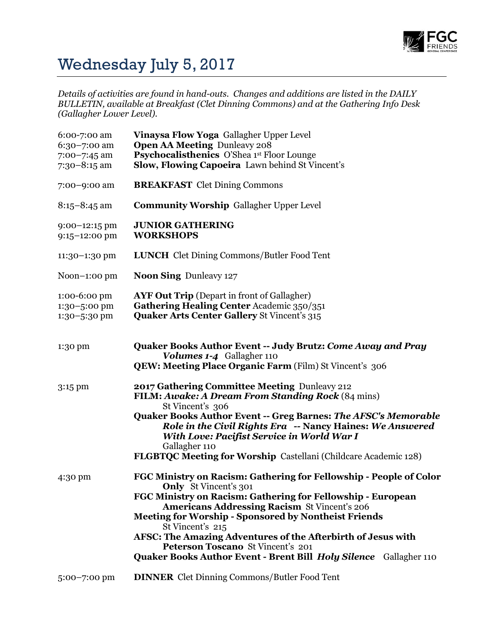

## Wednesday July 5, 2017

*Details of activities are found in hand-outs. Changes and additions are listed in the DAILY BULLETIN, available at Breakfast (Clet Dinning Commons) and at the Gathering Info Desk (Gallagher Lower Level).*

| 6:00-7:00 am<br>6:30-7:00 am<br>7:00-7:45 am<br>$7:30-8:15$ am | Vinaysa Flow Yoga Gallagher Upper Level<br><b>Open AA Meeting Dunleavy 208</b><br><b>Psychocalisthenics</b> O'Shea 1st Floor Lounge<br>Slow, Flowing Capoeira Lawn behind St Vincent's                                                                                                                                                                                                                                                                                                |
|----------------------------------------------------------------|---------------------------------------------------------------------------------------------------------------------------------------------------------------------------------------------------------------------------------------------------------------------------------------------------------------------------------------------------------------------------------------------------------------------------------------------------------------------------------------|
| 7:00-9:00 am                                                   | <b>BREAKFAST</b> Clet Dining Commons                                                                                                                                                                                                                                                                                                                                                                                                                                                  |
| $8:15 - 8:45$ am                                               | <b>Community Worship Gallagher Upper Level</b>                                                                                                                                                                                                                                                                                                                                                                                                                                        |
| $9:00-12:15$ pm<br>$9:15 - 12:00$ pm                           | <b>JUNIOR GATHERING</b><br><b>WORKSHOPS</b>                                                                                                                                                                                                                                                                                                                                                                                                                                           |
| 11:30-1:30 pm                                                  | <b>LUNCH</b> Clet Dining Commons/Butler Food Tent                                                                                                                                                                                                                                                                                                                                                                                                                                     |
| Noon $-1$ :00 pm                                               | <b>Noon Sing Dunleavy 127</b>                                                                                                                                                                                                                                                                                                                                                                                                                                                         |
| 1:00-6:00 pm<br>1:30-5:00 pm<br>1:30-5:30 pm                   | <b>AYF Out Trip</b> (Depart in front of Gallagher)<br>Gathering Healing Center Academic 350/351<br><b>Quaker Arts Center Gallery St Vincent's 315</b>                                                                                                                                                                                                                                                                                                                                 |
| 1:30 pm                                                        | <b>Quaker Books Author Event -- Judy Brutz: Come Away and Pray</b><br>Volumes 1-4 Gallagher 110<br><b>QEW: Meeting Place Organic Farm (Film) St Vincent's 306</b>                                                                                                                                                                                                                                                                                                                     |
| 3:15 pm                                                        | 2017 Gathering Committee Meeting Dunleavy 212<br><b>FILM: Awake: A Dream From Standing Rock</b> (84 mins)<br>St Vincent's 306<br>Quaker Books Author Event -- Greg Barnes: The AFSC's Memorable<br>Role in the Civil Rights Era -- Nancy Haines: We Answered<br>With Love: Pacifist Service in World War I<br>Gallagher 110<br><b>FLGBTQC Meeting for Worship Castellani (Childcare Academic 128)</b>                                                                                 |
| 4:30 pm                                                        | FGC Ministry on Racism: Gathering for Fellowship - People of Color<br>Only St Vincent's 301<br>FGC Ministry on Racism: Gathering for Fellowship - European<br><b>Americans Addressing Racism St Vincent's 206</b><br><b>Meeting for Worship - Sponsored by Nontheist Friends</b><br>St Vincent's 215<br>AFSC: The Amazing Adventures of the Afterbirth of Jesus with<br>Peterson Toscano St Vincent's 201<br><b>Quaker Books Author Event - Brent Bill Holy Silence</b> Gallagher 110 |
| $5:00 - 7:00$ pm                                               | <b>DINNER</b> Clet Dinning Commons/Butler Food Tent                                                                                                                                                                                                                                                                                                                                                                                                                                   |